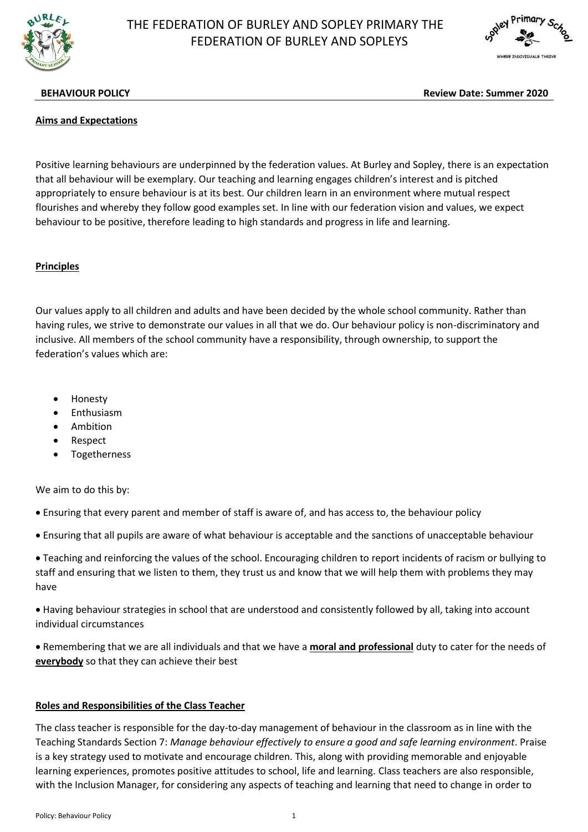

# THE FEDERATION OF BURLEY AND SOPLEY PRIMARY THE FEDERATION OF BURLEY AND SOPLEYS



**BEHAVIOUR POLICY Review Date: Summer 2020**

#### **Aims and Expectations**

Positive learning behaviours are underpinned by the federation values. At Burley and Sopley, there is an expectation that all behaviour will be exemplary. Our teaching and learning engages children's interest and is pitched appropriately to ensure behaviour is at its best. Our children learn in an environment where mutual respect flourishes and whereby they follow good examples set. In line with our federation vision and values, we expect behaviour to be positive, therefore leading to high standards and progress in life and learning.

## **Principles**

Our values apply to all children and adults and have been decided by the whole school community. Rather than having rules, we strive to demonstrate our values in all that we do. Our behaviour policy is non-discriminatory and inclusive. All members of the school community have a responsibility, through ownership, to support the federation's values which are:

- Honesty
- Enthusiasm
- Ambition
- Respect
- Togetherness

We aim to do this by:

- Ensuring that every parent and member of staff is aware of, and has access to, the behaviour policy
- Ensuring that all pupils are aware of what behaviour is acceptable and the sanctions of unacceptable behaviour

 Teaching and reinforcing the values of the school. Encouraging children to report incidents of racism or bullying to staff and ensuring that we listen to them, they trust us and know that we will help them with problems they may have

 Having behaviour strategies in school that are understood and consistently followed by all, taking into account individual circumstances

 Remembering that we are all individuals and that we have a **moral and professional** duty to cater for the needs of **everybody** so that they can achieve their best

#### **Roles and Responsibilities of the Class Teacher**

The class teacher is responsible for the day-to-day management of behaviour in the classroom as in line with the Teaching Standards Section 7: *Manage behaviour effectively to ensure a good and safe learning environment*. Praise is a key strategy used to motivate and encourage children. This, along with providing memorable and enjoyable learning experiences, promotes positive attitudes to school, life and learning. Class teachers are also responsible, with the Inclusion Manager, for considering any aspects of teaching and learning that need to change in order to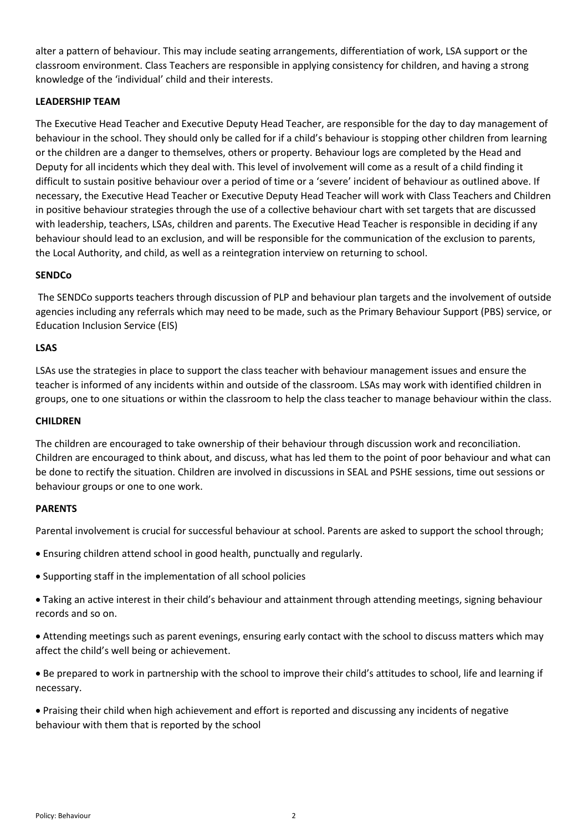alter a pattern of behaviour. This may include seating arrangements, differentiation of work, LSA support or the classroom environment. Class Teachers are responsible in applying consistency for children, and having a strong knowledge of the 'individual' child and their interests.

## **LEADERSHIP TEAM**

The Executive Head Teacher and Executive Deputy Head Teacher, are responsible for the day to day management of behaviour in the school. They should only be called for if a child's behaviour is stopping other children from learning or the children are a danger to themselves, others or property. Behaviour logs are completed by the Head and Deputy for all incidents which they deal with. This level of involvement will come as a result of a child finding it difficult to sustain positive behaviour over a period of time or a 'severe' incident of behaviour as outlined above. If necessary, the Executive Head Teacher or Executive Deputy Head Teacher will work with Class Teachers and Children in positive behaviour strategies through the use of a collective behaviour chart with set targets that are discussed with leadership, teachers, LSAs, children and parents. The Executive Head Teacher is responsible in deciding if any behaviour should lead to an exclusion, and will be responsible for the communication of the exclusion to parents, the Local Authority, and child, as well as a reintegration interview on returning to school.

## **SENDCo**

The SENDCo supports teachers through discussion of PLP and behaviour plan targets and the involvement of outside agencies including any referrals which may need to be made, such as the Primary Behaviour Support (PBS) service, or Education Inclusion Service (EIS)

## **LSAS**

LSAs use the strategies in place to support the class teacher with behaviour management issues and ensure the teacher is informed of any incidents within and outside of the classroom. LSAs may work with identified children in groups, one to one situations or within the classroom to help the class teacher to manage behaviour within the class.

## **CHILDREN**

The children are encouraged to take ownership of their behaviour through discussion work and reconciliation. Children are encouraged to think about, and discuss, what has led them to the point of poor behaviour and what can be done to rectify the situation. Children are involved in discussions in SEAL and PSHE sessions, time out sessions or behaviour groups or one to one work.

## **PARENTS**

Parental involvement is crucial for successful behaviour at school. Parents are asked to support the school through;

- Ensuring children attend school in good health, punctually and regularly.
- Supporting staff in the implementation of all school policies

 Taking an active interest in their child's behaviour and attainment through attending meetings, signing behaviour records and so on.

 Attending meetings such as parent evenings, ensuring early contact with the school to discuss matters which may affect the child's well being or achievement.

 Be prepared to work in partnership with the school to improve their child's attitudes to school, life and learning if necessary.

 Praising their child when high achievement and effort is reported and discussing any incidents of negative behaviour with them that is reported by the school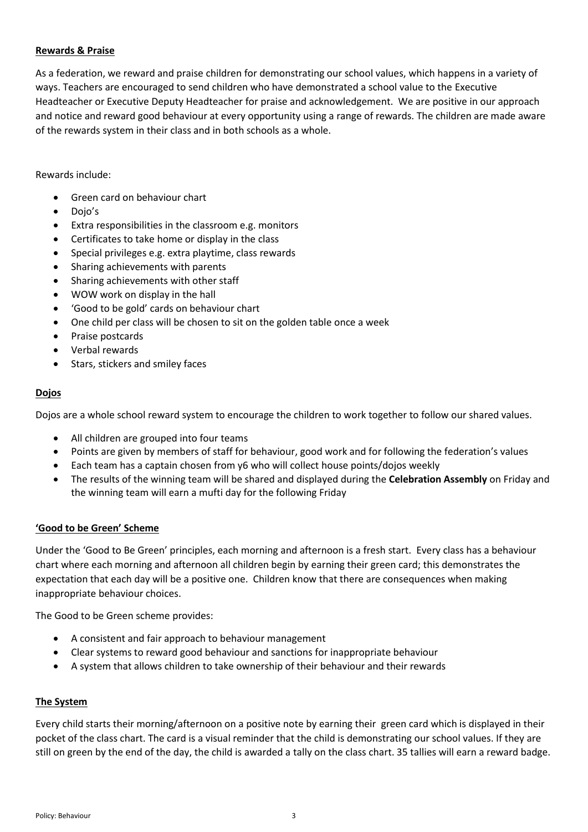## **Rewards & Praise**

As a federation, we reward and praise children for demonstrating our school values, which happens in a variety of ways. Teachers are encouraged to send children who have demonstrated a school value to the Executive Headteacher or Executive Deputy Headteacher for praise and acknowledgement. We are positive in our approach and notice and reward good behaviour at every opportunity using a range of rewards. The children are made aware of the rewards system in their class and in both schools as a whole.

## Rewards include:

- Green card on behaviour chart
- Dojo's
- Extra responsibilities in the classroom e.g. monitors
- Certificates to take home or display in the class
- Special privileges e.g. extra playtime, class rewards
- Sharing achievements with parents
- Sharing achievements with other staff
- WOW work on display in the hall
- 'Good to be gold' cards on behaviour chart
- One child per class will be chosen to sit on the golden table once a week
- Praise postcards
- Verbal rewards
- Stars, stickers and smiley faces

## **Dojos**

Dojos are a whole school reward system to encourage the children to work together to follow our shared values.

- All children are grouped into four teams
- Points are given by members of staff for behaviour, good work and for following the federation's values
- Each team has a captain chosen from y6 who will collect house points/dojos weekly
- The results of the winning team will be shared and displayed during the **Celebration Assembly** on Friday and the winning team will earn a mufti day for the following Friday

## **'Good to be Green' Scheme**

Under the 'Good to Be Green' principles, each morning and afternoon is a fresh start. Every class has a behaviour chart where each morning and afternoon all children begin by earning their green card; this demonstrates the expectation that each day will be a positive one. Children know that there are consequences when making inappropriate behaviour choices.

The Good to be Green scheme provides:

- A consistent and fair approach to behaviour management
- Clear systems to reward good behaviour and sanctions for inappropriate behaviour
- A system that allows children to take ownership of their behaviour and their rewards

#### **The System**

Every child starts their morning/afternoon on a positive note by earning their green card which is displayed in their pocket of the class chart. The card is a visual reminder that the child is demonstrating our school values. If they are still on green by the end of the day, the child is awarded a tally on the class chart. 35 tallies will earn a reward badge.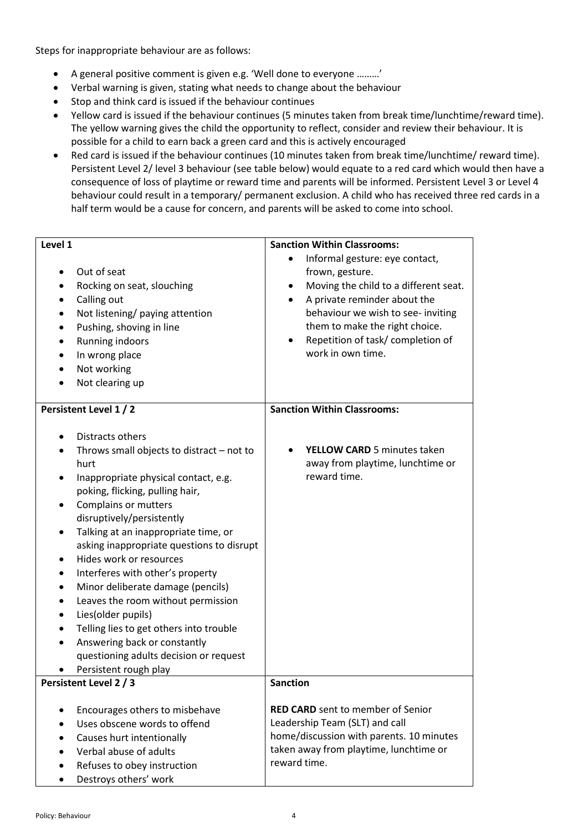Steps for inappropriate behaviour are as follows:

- A general positive comment is given e.g. 'Well done to everyone ………'
- Verbal warning is given, stating what needs to change about the behaviour
- Stop and think card is issued if the behaviour continues
- Yellow card is issued if the behaviour continues (5 minutes taken from break time/lunchtime/reward time). The yellow warning gives the child the opportunity to reflect, consider and review their behaviour. It is possible for a child to earn back a green card and this is actively encouraged
- Red card is issued if the behaviour continues (10 minutes taken from break time/lunchtime/ reward time). Persistent Level 2/ level 3 behaviour (see table below) would equate to a red card which would then have a consequence of loss of playtime or reward time and parents will be informed. Persistent Level 3 or Level 4 behaviour could result in a temporary/ permanent exclusion. A child who has received three red cards in a half term would be a cause for concern, and parents will be asked to come into school.

| Level 1                                                                                                                                                                                                                                                                                                                                                                                                                                                                                                                                                                                                            | <b>Sanction Within Classrooms:</b>                                                                                                                                                                                                                               |
|--------------------------------------------------------------------------------------------------------------------------------------------------------------------------------------------------------------------------------------------------------------------------------------------------------------------------------------------------------------------------------------------------------------------------------------------------------------------------------------------------------------------------------------------------------------------------------------------------------------------|------------------------------------------------------------------------------------------------------------------------------------------------------------------------------------------------------------------------------------------------------------------|
| Out of seat<br>Rocking on seat, slouching<br>Calling out<br>Not listening/ paying attention<br>Pushing, shoving in line<br>Running indoors<br>In wrong place<br>Not working<br>Not clearing up                                                                                                                                                                                                                                                                                                                                                                                                                     | Informal gesture: eye contact,<br>frown, gesture.<br>Moving the child to a different seat.<br>٠<br>A private reminder about the<br>behaviour we wish to see- inviting<br>them to make the right choice.<br>Repetition of task/completion of<br>work in own time. |
| Persistent Level 1 / 2                                                                                                                                                                                                                                                                                                                                                                                                                                                                                                                                                                                             | <b>Sanction Within Classrooms:</b>                                                                                                                                                                                                                               |
| Distracts others<br>Throws small objects to distract - not to<br>hurt<br>Inappropriate physical contact, e.g.<br>poking, flicking, pulling hair,<br>Complains or mutters<br>disruptively/persistently<br>Talking at an inappropriate time, or<br>asking inappropriate questions to disrupt<br>Hides work or resources<br>Interferes with other's property<br>٠<br>Minor deliberate damage (pencils)<br>Leaves the room without permission<br>Lies(older pupils)<br>٠<br>Telling lies to get others into trouble<br>Answering back or constantly<br>questioning adults decision or request<br>Persistent rough play | <b>YELLOW CARD</b> 5 minutes taken<br>away from playtime, lunchtime or<br>reward time.                                                                                                                                                                           |
| Persistent Level 2 / 3                                                                                                                                                                                                                                                                                                                                                                                                                                                                                                                                                                                             | Sanction                                                                                                                                                                                                                                                         |
| Encourages others to misbehave<br>Uses obscene words to offend<br>Causes hurt intentionally<br>Verbal abuse of adults<br>Refuses to obey instruction<br>Destroys others' work                                                                                                                                                                                                                                                                                                                                                                                                                                      | <b>RED CARD</b> sent to member of Senior<br>Leadership Team (SLT) and call<br>home/discussion with parents. 10 minutes<br>taken away from playtime, lunchtime or<br>reward time.                                                                                 |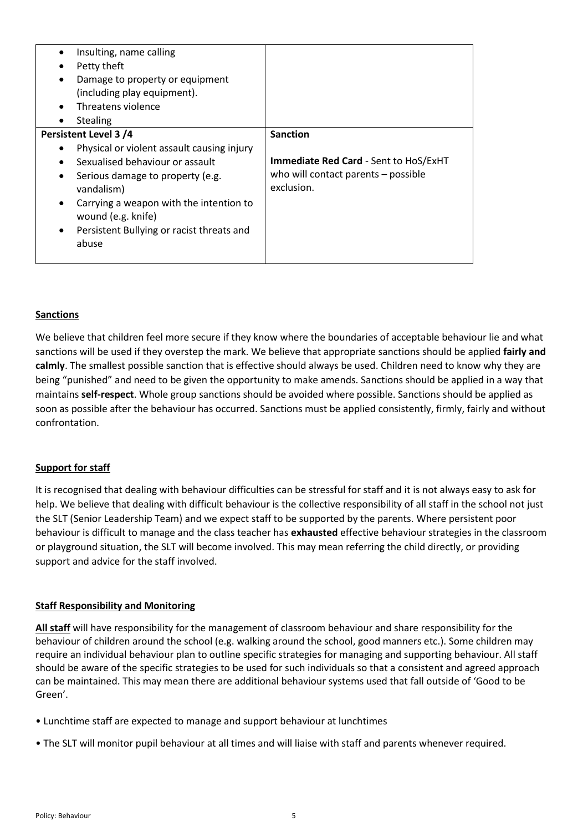|           | Insulting, name calling                                       |                                                   |
|-----------|---------------------------------------------------------------|---------------------------------------------------|
|           | Petty theft                                                   |                                                   |
| $\bullet$ | Damage to property or equipment                               |                                                   |
|           | (including play equipment).                                   |                                                   |
|           | Threatens violence                                            |                                                   |
|           | <b>Stealing</b>                                               |                                                   |
|           | Persistent Level 3 /4                                         | <b>Sanction</b>                                   |
|           | Physical or violent assault causing injury                    |                                                   |
|           | Sexualised behaviour or assault                               | <b>Immediate Red Card - Sent to HoS/ExHT</b>      |
|           | Serious damage to property (e.g.<br>vandalism)                | who will contact parents - possible<br>exclusion. |
| $\bullet$ | Carrying a weapon with the intention to<br>wound (e.g. knife) |                                                   |
|           | Persistent Bullying or racist threats and<br>abuse            |                                                   |
|           |                                                               |                                                   |

## **Sanctions**

We believe that children feel more secure if they know where the boundaries of acceptable behaviour lie and what sanctions will be used if they overstep the mark. We believe that appropriate sanctions should be applied **fairly and calmly**. The smallest possible sanction that is effective should always be used. Children need to know why they are being "punished" and need to be given the opportunity to make amends. Sanctions should be applied in a way that maintains **self-respect**. Whole group sanctions should be avoided where possible. Sanctions should be applied as soon as possible after the behaviour has occurred. Sanctions must be applied consistently, firmly, fairly and without confrontation.

#### **Support for staff**

It is recognised that dealing with behaviour difficulties can be stressful for staff and it is not always easy to ask for help. We believe that dealing with difficult behaviour is the collective responsibility of all staff in the school not just the SLT (Senior Leadership Team) and we expect staff to be supported by the parents. Where persistent poor behaviour is difficult to manage and the class teacher has **exhausted** effective behaviour strategies in the classroom or playground situation, the SLT will become involved. This may mean referring the child directly, or providing support and advice for the staff involved.

#### **Staff Responsibility and Monitoring**

**All staff** will have responsibility for the management of classroom behaviour and share responsibility for the behaviour of children around the school (e.g. walking around the school, good manners etc.). Some children may require an individual behaviour plan to outline specific strategies for managing and supporting behaviour. All staff should be aware of the specific strategies to be used for such individuals so that a consistent and agreed approach can be maintained. This may mean there are additional behaviour systems used that fall outside of 'Good to be Green'.

- Lunchtime staff are expected to manage and support behaviour at lunchtimes
- The SLT will monitor pupil behaviour at all times and will liaise with staff and parents whenever required.